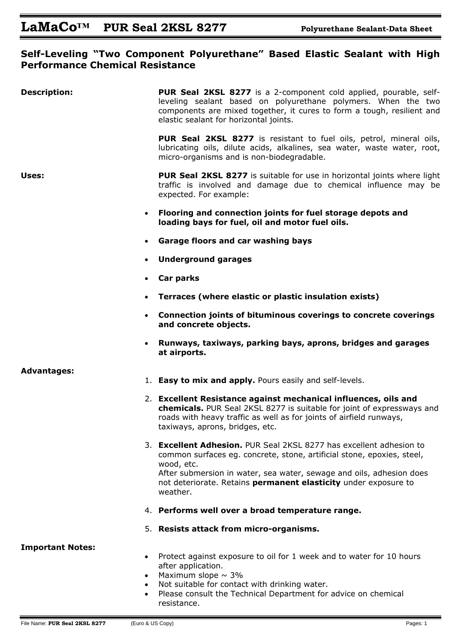### **Self-Leveling "Two Component Polyurethane" Based Elastic Sealant with High Performance Chemical Resistance**

| <b>Description:</b>     |                        | <b>PUR Seal 2KSL 8277</b> is a 2-component cold applied, pourable, self-<br>leveling sealant based on polyurethane polymers. When the two<br>components are mixed together, it cures to form a tough, resilient and<br>elastic sealant for horizontal joints. |
|-------------------------|------------------------|---------------------------------------------------------------------------------------------------------------------------------------------------------------------------------------------------------------------------------------------------------------|
|                         |                        | <b>PUR Seal 2KSL 8277</b> is resistant to fuel oils, petrol, mineral oils,<br>lubricating oils, dilute acids, alkalines, sea water, waste water, root,<br>micro-organisms and is non-biodegradable.                                                           |
| Uses:                   |                        | PUR Seal 2KSL 8277 is suitable for use in horizontal joints where light<br>traffic is involved and damage due to chemical influence may be<br>expected. For example:                                                                                          |
|                         | $\bullet$              | Flooring and connection joints for fuel storage depots and<br>loading bays for fuel, oil and motor fuel oils.                                                                                                                                                 |
|                         | $\bullet$              | Garage floors and car washing bays                                                                                                                                                                                                                            |
|                         | $\bullet$              | <b>Underground garages</b>                                                                                                                                                                                                                                    |
|                         | $\bullet$              | Car parks                                                                                                                                                                                                                                                     |
|                         | $\bullet$              | Terraces (where elastic or plastic insulation exists)                                                                                                                                                                                                         |
|                         | $\bullet$              | Connection joints of bituminous coverings to concrete coverings<br>and concrete objects.                                                                                                                                                                      |
|                         | $\bullet$              | Runways, taxiways, parking bays, aprons, bridges and garages<br>at airports.                                                                                                                                                                                  |
| <b>Advantages:</b>      |                        |                                                                                                                                                                                                                                                               |
|                         |                        | 1. Easy to mix and apply. Pours easily and self-levels.                                                                                                                                                                                                       |
|                         |                        | 2. Excellent Resistance against mechanical influences, oils and<br>chemicals. PUR Seal 2KSL 8277 is suitable for joint of expressways and<br>roads with heavy traffic as well as for joints of airfield runways,<br>taxiways, aprons, bridges, etc.           |
|                         |                        | 3. Excellent Adhesion. PUR Seal 2KSL 8277 has excellent adhesion to<br>common surfaces eg. concrete, stone, artificial stone, epoxies, steel,<br>wood, etc.<br>After submersion in water, sea water, sewage and oils, adhesion does                           |
|                         |                        | not deteriorate. Retains permanent elasticity under exposure to<br>weather.                                                                                                                                                                                   |
|                         |                        | 4. Performs well over a broad temperature range.                                                                                                                                                                                                              |
|                         |                        | 5. Resists attack from micro-organisms.                                                                                                                                                                                                                       |
| <b>Important Notes:</b> | $\bullet$<br>$\bullet$ | Protect against exposure to oil for 1 week and to water for 10 hours<br>after application.<br>Maximum slope $\sim$ 3%<br>Not suitable for contact with drinking water.                                                                                        |
|                         |                        | Please consult the Technical Department for advice on chemical<br>resistance.                                                                                                                                                                                 |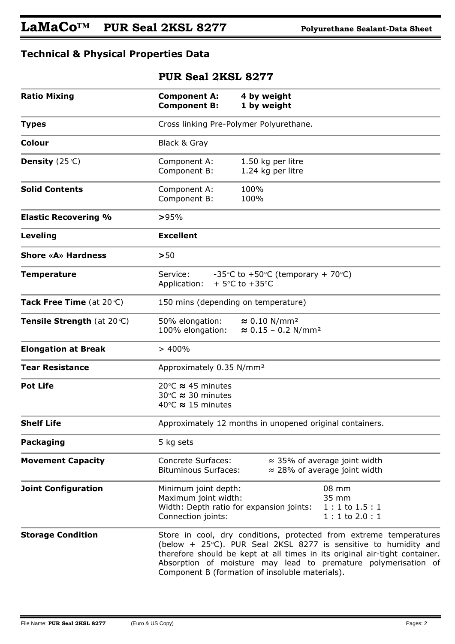# LaMaCo<sup>TM</sup> PUR Seal 2KSL 8277 **Polyurethane Sealant-Data Sheet**

## **Technical & Physical Properties Data**

### **PUR Seal 2KSL 8277**

| <b>Ratio Mixing</b>         | <b>Component A:</b><br><b>Component B:</b>                                                                        | 4 by weight<br>1 by weight                                                                                                                                                                                                                                                                                                                           |  |
|-----------------------------|-------------------------------------------------------------------------------------------------------------------|------------------------------------------------------------------------------------------------------------------------------------------------------------------------------------------------------------------------------------------------------------------------------------------------------------------------------------------------------|--|
| <b>Types</b>                | Cross linking Pre-Polymer Polyurethane.                                                                           |                                                                                                                                                                                                                                                                                                                                                      |  |
| Colour                      | Black & Gray                                                                                                      |                                                                                                                                                                                                                                                                                                                                                      |  |
| Density $(25^{\circ}C)$     | Component A:<br>Component B:                                                                                      | 1.50 kg per litre<br>1.24 kg per litre                                                                                                                                                                                                                                                                                                               |  |
| <b>Solid Contents</b>       | Component A:<br>Component B:                                                                                      | 100%<br>100%                                                                                                                                                                                                                                                                                                                                         |  |
| <b>Elastic Recovering %</b> | >95%                                                                                                              |                                                                                                                                                                                                                                                                                                                                                      |  |
| Leveling                    | <b>Excellent</b>                                                                                                  |                                                                                                                                                                                                                                                                                                                                                      |  |
| <b>Shore «A» Hardness</b>   | >50                                                                                                               |                                                                                                                                                                                                                                                                                                                                                      |  |
| <b>Temperature</b>          | Service:<br>Application:                                                                                          | -35 $\degree$ C to +50 $\degree$ C (temporary + 70 $\degree$ C)<br>+ 5 $\degree$ C to +35 $\degree$ C                                                                                                                                                                                                                                                |  |
| Tack Free Time (at 20°C)    | 150 mins (depending on temperature)                                                                               |                                                                                                                                                                                                                                                                                                                                                      |  |
| Tensile Strength (at 20°C)  | 50% elongation:<br>100% elongation:                                                                               | $\approx 0.10$ N/mm <sup>2</sup><br>$\approx 0.15 - 0.2$ N/mm <sup>2</sup>                                                                                                                                                                                                                                                                           |  |
| <b>Elongation at Break</b>  | >400%                                                                                                             |                                                                                                                                                                                                                                                                                                                                                      |  |
| <b>Tear Resistance</b>      | Approximately 0.35 N/mm <sup>2</sup>                                                                              |                                                                                                                                                                                                                                                                                                                                                      |  |
| <b>Pot Life</b>             | 20 $\degree$ C $\approx$ 45 minutes<br>30 $\degree$ C $\approx$ 30 minutes<br>40 $\degree$ C $\approx$ 15 minutes |                                                                                                                                                                                                                                                                                                                                                      |  |
| <b>Shelf Life</b>           |                                                                                                                   | Approximately 12 months in unopened original containers.                                                                                                                                                                                                                                                                                             |  |
| <b>Packaging</b>            | 5 kg sets                                                                                                         |                                                                                                                                                                                                                                                                                                                                                      |  |
| <b>Movement Capacity</b>    | <b>Concrete Surfaces:</b><br><b>Bituminous Surfaces:</b>                                                          | $\approx$ 35% of average joint width<br>$\approx$ 28% of average joint width                                                                                                                                                                                                                                                                         |  |
| <b>Joint Configuration</b>  | Minimum joint depth:<br>Maximum joint width:<br>Connection joints:                                                | 08 mm<br>35 mm<br>Width: Depth ratio for expansion joints:<br>$1:1$ to $1.5:1$<br>$1:1$ to $2.0:1$                                                                                                                                                                                                                                                   |  |
| <b>Storage Condition</b>    |                                                                                                                   | Store in cool, dry conditions, protected from extreme temperatures<br>(below $+$ 25 $\degree$ C). PUR Seal 2KSL 8277 is sensitive to humidity and<br>therefore should be kept at all times in its original air-tight container.<br>Absorption of moisture may lead to premature polymerisation of<br>Component B (formation of insoluble materials). |  |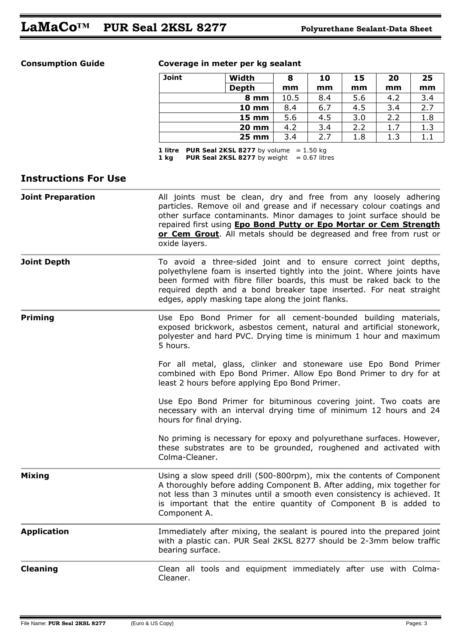### **Consumption Guide Coverage in meter per kg sealant**

| <b>Joint</b> | Width           | 8    | 10  | 15  | 20  | 25  |
|--------------|-----------------|------|-----|-----|-----|-----|
|              | <b>Depth</b>    | mm   | mm  | mm  | mm  | mm  |
|              | 8 mm            | 10.5 | 8.4 | 5.6 | 4.2 | 3.4 |
|              | <b>10 mm</b>    | 8.4  | 6.7 | 4.5 | 3.4 | 2.7 |
|              | $15 \text{ mm}$ | 5.6  | 4.5 | 3.0 | 2.2 | 1.8 |
|              | <b>20 mm</b>    | 4.2  | 3.4 | 2.2 | 1.7 | 1.3 |
|              | <b>25 mm</b>    | 3.4  | 2.7 | 1.8 | 1.3 | 1.1 |

 *1 litre PUR Seal 2KSL 8277 by volume = 1.50 kg 1 kg PUR Seal 2KSL 8277 by weight = 0.67 litres* 

### **Instructions For Use**

| <b>Joint Preparation</b> | All joints must be clean, dry and free from any loosely adhering<br>particles. Remove oil and grease and if necessary colour coatings and<br>other surface contaminants. Minor damages to joint surface should be<br>repaired first using Epo Bond Putty or Epo Mortar or Cem Strength<br>or Cem Grout. All metals should be degreased and free from rust or<br>oxide layers. |
|--------------------------|-------------------------------------------------------------------------------------------------------------------------------------------------------------------------------------------------------------------------------------------------------------------------------------------------------------------------------------------------------------------------------|
| <b>Joint Depth</b>       | To avoid a three-sided joint and to ensure correct joint depths,<br>polyethylene foam is inserted tightly into the joint. Where joints have<br>been formed with fibre filler boards, this must be raked back to the<br>required depth and a bond breaker tape inserted. For neat straight<br>edges, apply masking tape along the joint flanks.                                |
| <b>Priming</b>           | Use Epo Bond Primer for all cement-bounded building materials,<br>exposed brickwork, asbestos cement, natural and artificial stonework,<br>polyester and hard PVC. Drying time is minimum 1 hour and maximum<br>5 hours.                                                                                                                                                      |
|                          | For all metal, glass, clinker and stoneware use Epo Bond Primer<br>combined with Epo Bond Primer. Allow Epo Bond Primer to dry for at<br>least 2 hours before applying Epo Bond Primer.                                                                                                                                                                                       |
|                          | Use Epo Bond Primer for bituminous covering joint. Two coats are<br>necessary with an interval drying time of minimum 12 hours and 24<br>hours for final drying.                                                                                                                                                                                                              |
|                          | No priming is necessary for epoxy and polyurethane surfaces. However,<br>these substrates are to be grounded, roughened and activated with<br>Colma-Cleaner.                                                                                                                                                                                                                  |
| <b>Mixing</b>            | Using a slow speed drill (500-800rpm), mix the contents of Component<br>A thoroughly before adding Component B. After adding, mix together for<br>not less than 3 minutes until a smooth even consistency is achieved. It<br>is important that the entire quantity of Component B is added to<br>Component A.                                                                 |
| <b>Application</b>       | Immediately after mixing, the sealant is poured into the prepared joint<br>with a plastic can. PUR Seal 2KSL 8277 should be 2-3mm below traffic<br>bearing surface.                                                                                                                                                                                                           |
| <b>Cleaning</b>          | Clean all tools and equipment immediately after use with Colma-<br>Cleaner.                                                                                                                                                                                                                                                                                                   |